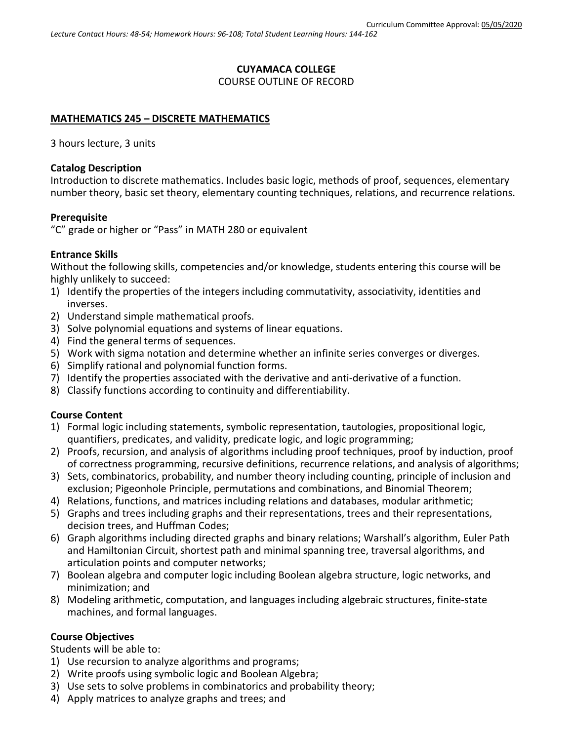## **CUYAMACA COLLEGE** COURSE OUTLINE OF RECORD

### **MATHEMATICS 245 – DISCRETE MATHEMATICS**

3 hours lecture, 3 units

### **Catalog Description**

Introduction to discrete mathematics. Includes basic logic, methods of proof, sequences, elementary number theory, basic set theory, elementary counting techniques, relations, and recurrence relations.

#### **Prerequisite**

"C" grade or higher or "Pass" in MATH 280 or equivalent

### **Entrance Skills**

Without the following skills, competencies and/or knowledge, students entering this course will be highly unlikely to succeed:

- 1) Identify the properties of the integers including commutativity, associativity, identities and inverses.
- 2) Understand simple mathematical proofs.
- 3) Solve polynomial equations and systems of linear equations.
- 4) Find the general terms of sequences.
- 5) Work with sigma notation and determine whether an infinite series converges or diverges.
- 6) Simplify rational and polynomial function forms.
- 7) Identify the properties associated with the derivative and anti-derivative of a function.
- 8) Classify functions according to continuity and differentiability.

### **Course Content**

- 1) Formal logic including statements, symbolic representation, tautologies, propositional logic, quantifiers, predicates, and validity, predicate logic, and logic programming;
- 2) Proofs, recursion, and analysis of algorithms including proof techniques, proof by induction, proof of correctness programming, recursive definitions, recurrence relations, and analysis of algorithms;
- 3) Sets, combinatorics, probability, and number theory including counting, principle of inclusion and exclusion; Pigeonhole Principle, permutations and combinations, and Binomial Theorem;
- 4) Relations, functions, and matrices including relations and databases, modular arithmetic;
- 5) Graphs and trees including graphs and their representations, trees and their representations, decision trees, and Huffman Codes;
- 6) Graph algorithms including directed graphs and binary relations; Warshall's algorithm, Euler Path and Hamiltonian Circuit, shortest path and minimal spanning tree, traversal algorithms, and articulation points and computer networks;
- 7) Boolean algebra and computer logic including Boolean algebra structure, logic networks, and minimization; and
- 8) Modeling arithmetic, computation, and languages including algebraic structures, finite-state machines, and formal languages.

### **Course Objectives**

Students will be able to:

- 1) Use recursion to analyze algorithms and programs;
- 2) Write proofs using symbolic logic and Boolean Algebra;
- 3) Use sets to solve problems in combinatorics and probability theory;
- 4) Apply matrices to analyze graphs and trees; and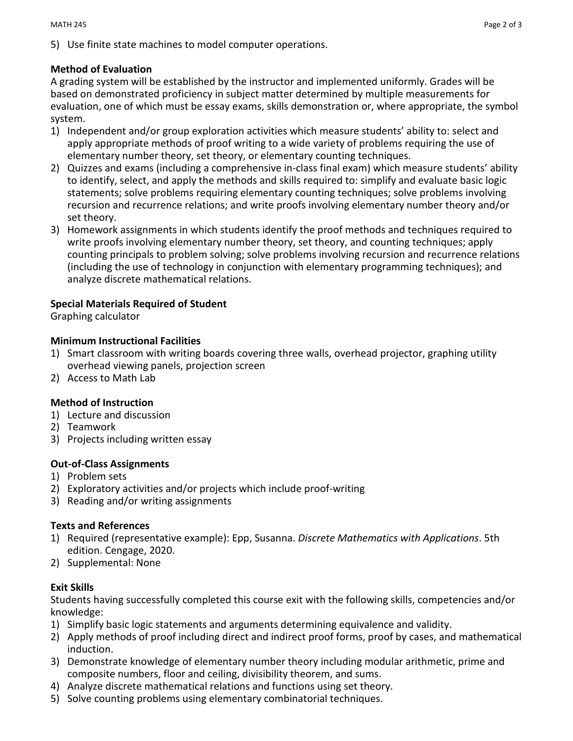# **Method of Evaluation**

A grading system will be established by the instructor and implemented uniformly. Grades will be based on demonstrated proficiency in subject matter determined by multiple measurements for evaluation, one of which must be essay exams, skills demonstration or, where appropriate, the symbol system.

- 1) Independent and/or group exploration activities which measure students' ability to: select and apply appropriate methods of proof writing to a wide variety of problems requiring the use of elementary number theory, set theory, or elementary counting techniques.
- 2) Quizzes and exams (including a comprehensive in-class final exam) which measure students' ability to identify, select, and apply the methods and skills required to: simplify and evaluate basic logic statements; solve problems requiring elementary counting techniques; solve problems involving recursion and recurrence relations; and write proofs involving elementary number theory and/or set theory.
- 3) Homework assignments in which students identify the proof methods and techniques required to write proofs involving elementary number theory, set theory, and counting techniques; apply counting principals to problem solving; solve problems involving recursion and recurrence relations (including the use of technology in conjunction with elementary programming techniques); and analyze discrete mathematical relations.

# **Special Materials Required of Student**

Graphing calculator

## **Minimum Instructional Facilities**

- 1) Smart classroom with writing boards covering three walls, overhead projector, graphing utility overhead viewing panels, projection screen
- 2) Access to Math Lab

## **Method of Instruction**

- 1) Lecture and discussion
- 2) Teamwork
- 3) Projects including written essay

## **Out-of-Class Assignments**

- 1) Problem sets
- 2) Exploratory activities and/or projects which include proof-writing
- 3) Reading and/or writing assignments

## **Texts and References**

- 1) Required (representative example): Epp, Susanna. *Discrete Mathematics with Applications*. 5th edition. Cengage, 2020.
- 2) Supplemental: None

## **Exit Skills**

Students having successfully completed this course exit with the following skills, competencies and/or knowledge:

- 1) Simplify basic logic statements and arguments determining equivalence and validity.
- 2) Apply methods of proof including direct and indirect proof forms, proof by cases, and mathematical induction.
- 3) Demonstrate knowledge of elementary number theory including modular arithmetic, prime and composite numbers, floor and ceiling, divisibility theorem, and sums.
- 4) Analyze discrete mathematical relations and functions using set theory.
- 5) Solve counting problems using elementary combinatorial techniques.